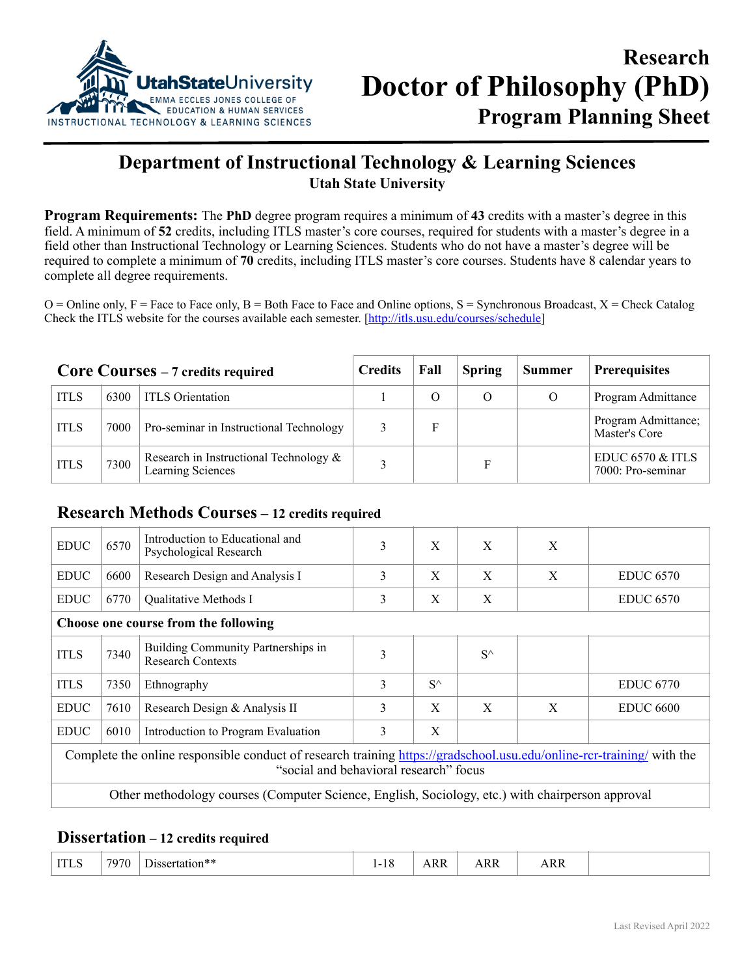

## **Department of Instructional Technology & Learning Sciences Utah State University**

**Program Requirements:** The **PhD** degree program requires a minimum of **43** credits with a master's degree in this field. A minimum of **52** credits, including ITLS master's core courses, required for students with a master's degree in a field other than Instructional Technology or Learning Sciences. Students who do not have a master's degree will be required to complete a minimum of **70** credits, including ITLS master's core courses. Students have 8 calendar years to complete all degree requirements.

 $O =$  Online only,  $F =$  Face to Face only,  $B =$  Both Face to Face and Online options,  $S =$  Synchronous Broadcast,  $X =$  Check Catalog Check the ITLS website for the courses available each semester. [[http://itls.usu.edu/courses/schedule\]](http://itls.usu.edu/courses/schedule)

| Core Courses – 7 credits required |      |                                                             | <b>Credits</b> | Fall     | <b>Spring</b> | <b>Summer</b>                                    | <b>Prerequisites</b>                 |
|-----------------------------------|------|-------------------------------------------------------------|----------------|----------|---------------|--------------------------------------------------|--------------------------------------|
| <b>ITLS</b>                       | 6300 | <b>ITLS</b> Orientation                                     |                | $\Omega$ | $\Omega$      |                                                  | Program Admittance                   |
| <b>ITLS</b>                       | 7000 | Pro-seminar in Instructional Technology                     |                |          |               |                                                  | Program Admittance;<br>Master's Core |
| <b>ITLS</b>                       | 7300 | Research in Instructional Technology &<br>Learning Sciences | F              |          |               | <b>EDUC 6570 &amp; ITLS</b><br>7000: Pro-seminar |                                      |

## **Research Methods Courses – 12 credits required**

| <b>EDUC</b>                                                                                                                                                     | 6570                                 | Introduction to Educational and<br>Psychological Research      | 3 | X            | X            | X            |                  |  |  |
|-----------------------------------------------------------------------------------------------------------------------------------------------------------------|--------------------------------------|----------------------------------------------------------------|---|--------------|--------------|--------------|------------------|--|--|
| <b>EDUC</b>                                                                                                                                                     | 6600                                 | Research Design and Analysis I                                 | 3 | X            | X            | X            | <b>EDUC 6570</b> |  |  |
| <b>EDUC</b>                                                                                                                                                     | 6770                                 | Qualitative Methods I                                          | 3 | X            | X            |              | <b>EDUC 6570</b> |  |  |
|                                                                                                                                                                 | Choose one course from the following |                                                                |   |              |              |              |                  |  |  |
| <b>ITLS</b>                                                                                                                                                     | 7340                                 | Building Community Partnerships in<br><b>Research Contexts</b> | 3 |              | $S^{\wedge}$ |              |                  |  |  |
| <b>ITLS</b>                                                                                                                                                     | 7350                                 | Ethnography                                                    | 3 | $S^{\wedge}$ |              |              | <b>EDUC 6770</b> |  |  |
| <b>EDUC</b>                                                                                                                                                     | 7610                                 | Research Design & Analysis II                                  | 3 | X            | X            | $\mathbf{X}$ | <b>EDUC 6600</b> |  |  |
| <b>EDUC</b>                                                                                                                                                     | 6010                                 | Introduction to Program Evaluation                             | 3 | X            |              |              |                  |  |  |
| Complete the online responsible conduct of research training https://gradschool.usu.edu/online-rcr-training/ with the<br>"social and behavioral research" focus |                                      |                                                                |   |              |              |              |                  |  |  |
| Other methodology courses (Computer Science, English, Sociology, etc.) with chairperson approval                                                                |                                      |                                                                |   |              |              |              |                  |  |  |

## **Dissertation – 12 credits required**

| ARR<br><b>ARR</b><br>----- |  | ARR | -<br>-<br>. | ---<br>Dissertation** | 7070 | <b>ITI</b><br>11 L. |
|----------------------------|--|-----|-------------|-----------------------|------|---------------------|
|----------------------------|--|-----|-------------|-----------------------|------|---------------------|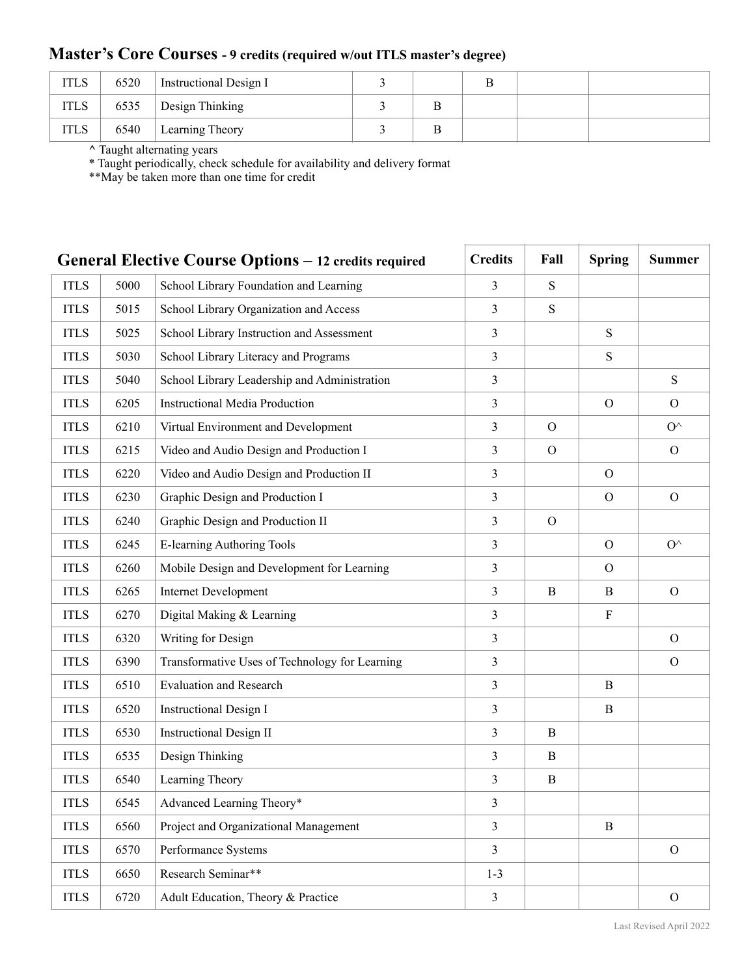## **Master's Core Courses - 9 credits (required w/out ITLS master's degree)**

| <b>ITLS</b> | 6520 | <b>Instructional Design I</b> |  |  |  |
|-------------|------|-------------------------------|--|--|--|
| <b>ITLS</b> | 6535 | Design Thinking               |  |  |  |
| <b>ITLS</b> | 6540 | Learning Theory               |  |  |  |

**^** Taught alternating years

\* Taught periodically, check schedule for availability and delivery format

\*\*May be taken more than one time for credit

|             |      | General Elective Course Options - 12 credits required | <b>Credits</b> | Fall          | <b>Spring</b>  | <b>Summer</b>  |
|-------------|------|-------------------------------------------------------|----------------|---------------|----------------|----------------|
| <b>ITLS</b> | 5000 | School Library Foundation and Learning                | 3              | ${\bf S}$     |                |                |
| <b>ITLS</b> | 5015 | School Library Organization and Access                | 3              | S             |                |                |
| <b>ITLS</b> | 5025 | School Library Instruction and Assessment             | $\mathfrak{Z}$ |               | ${\bf S}$      |                |
| <b>ITLS</b> | 5030 | School Library Literacy and Programs                  | $\mathfrak{Z}$ |               | S              |                |
| <b>ITLS</b> | 5040 | School Library Leadership and Administration          | $\mathfrak{Z}$ |               |                | S              |
| <b>ITLS</b> | 6205 | <b>Instructional Media Production</b>                 | 3              |               | $\overline{O}$ | $\Omega$       |
| <b>ITLS</b> | 6210 | Virtual Environment and Development                   | $\mathfrak{Z}$ | $\mathbf{O}$  |                | $O^{\wedge}$   |
| <b>ITLS</b> | 6215 | Video and Audio Design and Production I               | 3              | $\Omega$      |                | $\Omega$       |
| <b>ITLS</b> | 6220 | Video and Audio Design and Production II              | 3              |               | $\overline{O}$ |                |
| <b>ITLS</b> | 6230 | Graphic Design and Production I                       | $\mathfrak{Z}$ |               | $\mathcal{O}$  | $\Omega$       |
| <b>ITLS</b> | 6240 | Graphic Design and Production II                      | $\mathfrak{Z}$ | $\mathcal{O}$ |                |                |
| <b>ITLS</b> | 6245 | E-learning Authoring Tools                            | 3              |               | $\overline{O}$ | $O^{\wedge}$   |
| <b>ITLS</b> | 6260 | Mobile Design and Development for Learning            | $\mathfrak{Z}$ |               | $\Omega$       |                |
| <b>ITLS</b> | 6265 | <b>Internet Development</b>                           | $\mathfrak{Z}$ | B             | B              | $\mathcal{O}$  |
| <b>ITLS</b> | 6270 | Digital Making & Learning                             | 3              |               | $\rm F$        |                |
| <b>ITLS</b> | 6320 | Writing for Design                                    | $\mathfrak{Z}$ |               |                | $\mathcal{O}$  |
| <b>ITLS</b> | 6390 | Transformative Uses of Technology for Learning        | 3              |               |                | $\mathcal{O}$  |
| <b>ITLS</b> | 6510 | <b>Evaluation and Research</b>                        | $\mathfrak{Z}$ |               | B              |                |
| <b>ITLS</b> | 6520 | <b>Instructional Design I</b>                         | $\mathfrak{Z}$ |               | B              |                |
| <b>ITLS</b> | 6530 | <b>Instructional Design II</b>                        | 3              | B             |                |                |
| <b>ITLS</b> | 6535 | Design Thinking                                       | $\mathfrak{Z}$ | $\bf{B}$      |                |                |
| <b>ITLS</b> | 6540 | Learning Theory                                       | 3              | B             |                |                |
| <b>ITLS</b> | 6545 | Advanced Learning Theory*                             | 3              |               |                |                |
| <b>ITLS</b> | 6560 | Project and Organizational Management                 | $\mathfrak{Z}$ |               | $\mathbf{B}$   |                |
| <b>ITLS</b> | 6570 | Performance Systems                                   | $\mathfrak{Z}$ |               |                | $\overline{O}$ |
| <b>ITLS</b> | 6650 | Research Seminar**                                    | $1 - 3$        |               |                |                |
| <b>ITLS</b> | 6720 | Adult Education, Theory & Practice                    | $\mathfrak{Z}$ |               |                | $\mathcal{O}$  |